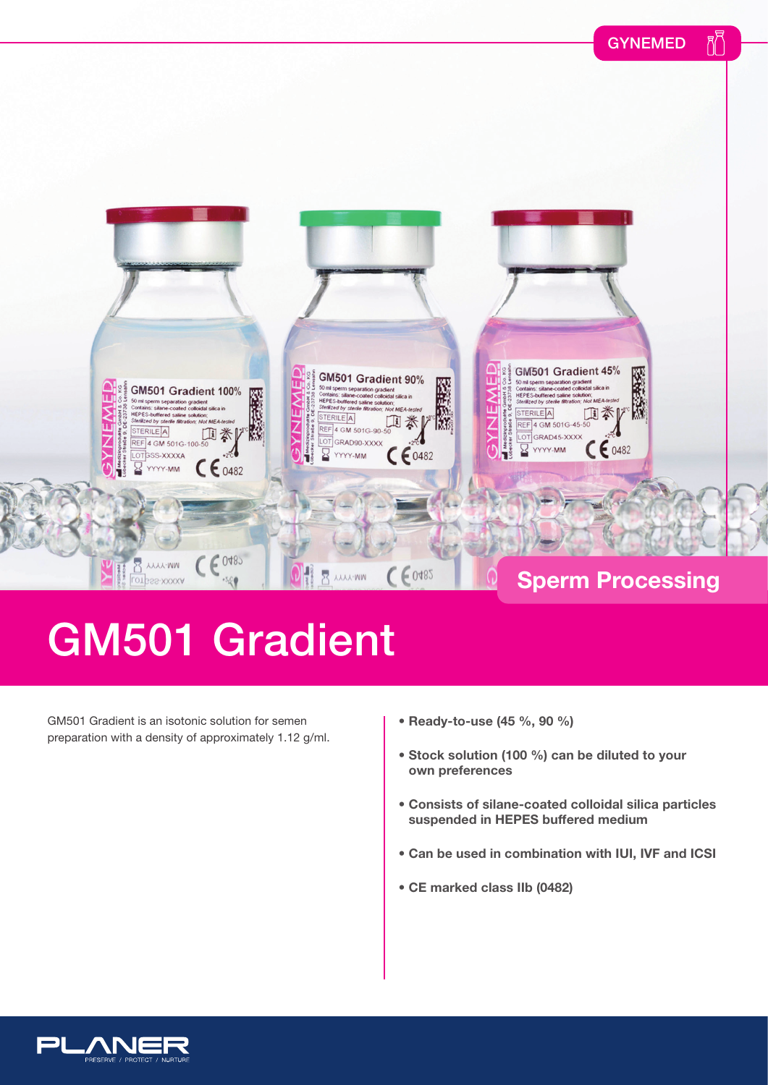

# GM501 Gradient

GM501 Gradient is an isotonic solution for semen preparation with a density of approximately 1.12 g/ml.

- **Ready-to-use (45 %, 90 %)**
- **Stock solution (100 %) can be diluted to your own preferences**
- **Consists of silane-coated colloidal silica particles suspended in HEPES buffered medium**
- **Can be used in combination with IUI, IVF and ICSI**
- **CE marked class IIb (0482)**